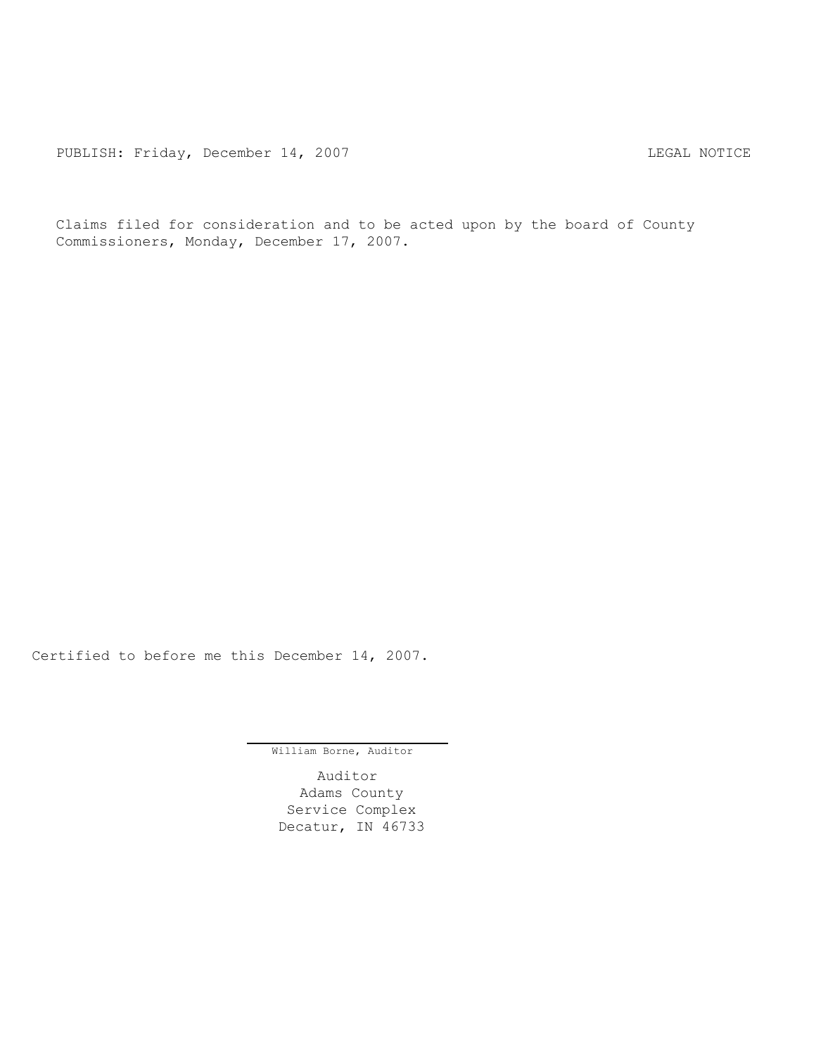Claims filed for consideration and to be acted upon by the board of County Commissioners, Monday, December 17, 2007.

Certified to before me this December 14, 2007.

William Borne, Auditor

Auditor Adams County Service Complex Decatur, IN 46733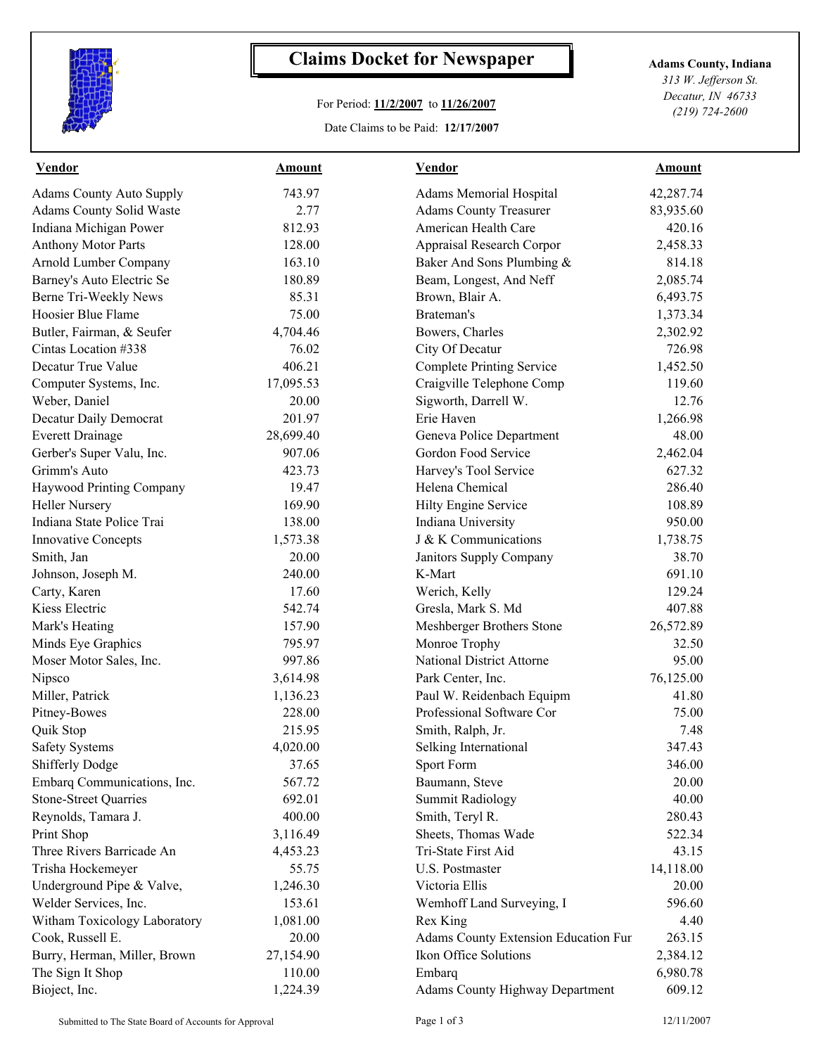

## **Claims Docket for Newspaper Adams County, Indiana**

## For Period: **11/2/2007** to **11/26/2007**

Date Claims to be Paid: **12/17/2007**

*313 W. Jefferson St. Decatur, IN 46733 (219) 724-2600*

| <b>Vendor</b>                   | <b>Amount</b> | <b>Vendor</b>                          | <b>Amount</b> |
|---------------------------------|---------------|----------------------------------------|---------------|
| <b>Adams County Auto Supply</b> | 743.97        | <b>Adams Memorial Hospital</b>         | 42,287.74     |
| Adams County Solid Waste        | 2.77          | <b>Adams County Treasurer</b>          | 83,935.60     |
| Indiana Michigan Power          | 812.93        | American Health Care                   | 420.16        |
| Anthony Motor Parts             | 128.00        | Appraisal Research Corpor              | 2,458.33      |
| Arnold Lumber Company           | 163.10        | Baker And Sons Plumbing &              | 814.18        |
| Barney's Auto Electric Se       | 180.89        | Beam, Longest, And Neff                | 2,085.74      |
| Berne Tri-Weekly News           | 85.31         | Brown, Blair A.                        | 6,493.75      |
| Hoosier Blue Flame              | 75.00         | Brateman's                             | 1,373.34      |
| Butler, Fairman, & Seufer       | 4,704.46      | Bowers, Charles                        | 2,302.92      |
| Cintas Location #338            | 76.02         | City Of Decatur                        | 726.98        |
| Decatur True Value              | 406.21        | <b>Complete Printing Service</b>       | 1,452.50      |
| Computer Systems, Inc.          | 17,095.53     | Craigville Telephone Comp              | 119.60        |
| Weber, Daniel                   | 20.00         | Sigworth, Darrell W.                   | 12.76         |
| Decatur Daily Democrat          | 201.97        | Erie Haven                             | 1,266.98      |
| <b>Everett Drainage</b>         | 28,699.40     | Geneva Police Department               | 48.00         |
| Gerber's Super Valu, Inc.       | 907.06        | Gordon Food Service                    | 2,462.04      |
| Grimm's Auto                    | 423.73        | Harvey's Tool Service                  | 627.32        |
| Haywood Printing Company        | 19.47         | Helena Chemical                        | 286.40        |
| <b>Heller Nursery</b>           | 169.90        | Hilty Engine Service                   | 108.89        |
| Indiana State Police Trai       | 138.00        | Indiana University                     | 950.00        |
| <b>Innovative Concepts</b>      | 1,573.38      | J & K Communications                   | 1,738.75      |
| Smith, Jan                      | 20.00         | Janitors Supply Company                | 38.70         |
| Johnson, Joseph M.              | 240.00        | K-Mart                                 | 691.10        |
| Carty, Karen                    | 17.60         | Werich, Kelly                          | 129.24        |
| Kiess Electric                  | 542.74        | Gresla, Mark S. Md                     | 407.88        |
| Mark's Heating                  | 157.90        | Meshberger Brothers Stone              | 26,572.89     |
| Minds Eye Graphics              | 795.97        | Monroe Trophy                          | 32.50         |
| Moser Motor Sales, Inc.         | 997.86        | <b>National District Attorne</b>       | 95.00         |
| Nipsco                          | 3,614.98      | Park Center, Inc.                      | 76,125.00     |
| Miller, Patrick                 | 1,136.23      | Paul W. Reidenbach Equipm              | 41.80         |
| Pitney-Bowes                    | 228.00        | Professional Software Cor              | 75.00         |
| Quik Stop                       | 215.95        | Smith, Ralph, Jr.                      | 7.48          |
| <b>Safety Systems</b>           | 4,020.00      | Selking International                  | 347.43        |
| <b>Shifferly Dodge</b>          | 37.65         | Sport Form                             | 346.00        |
| Embarq Communications, Inc.     | 567.72        | Baumann, Steve                         | 20.00         |
| <b>Stone-Street Quarries</b>    | 692.01        | <b>Summit Radiology</b>                | 40.00         |
| Reynolds, Tamara J.             | 400.00        | Smith, Teryl R.                        | 280.43        |
| Print Shop                      | 3,116.49      | Sheets, Thomas Wade                    | 522.34        |
| Three Rivers Barricade An       | 4,453.23      | Tri-State First Aid                    | 43.15         |
| Trisha Hockemeyer               | 55.75         | U.S. Postmaster                        | 14,118.00     |
| Underground Pipe & Valve,       | 1,246.30      | Victoria Ellis                         | 20.00         |
| Welder Services, Inc.           | 153.61        | Wemhoff Land Surveying, I              | 596.60        |
| Witham Toxicology Laboratory    | 1,081.00      | Rex King                               | 4.40          |
| Cook, Russell E.                | 20.00         | Adams County Extension Education Fur   | 263.15        |
| Burry, Herman, Miller, Brown    | 27,154.90     | Ikon Office Solutions                  | 2,384.12      |
| The Sign It Shop                | 110.00        | Embarq                                 | 6,980.78      |
| Bioject, Inc.                   | 1,224.39      | <b>Adams County Highway Department</b> | 609.12        |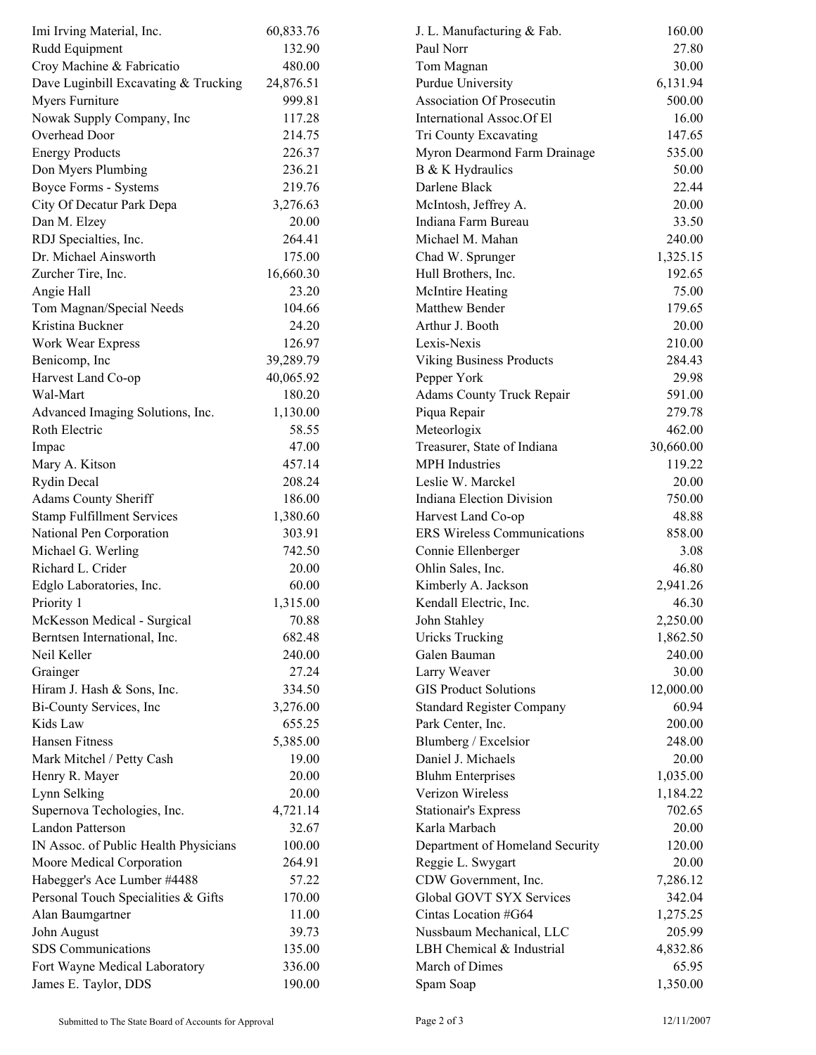| Imi Irving Material, Inc.             | 60,833.76 | J. L. Manufacturing & Fab.         | 160.00    |  |
|---------------------------------------|-----------|------------------------------------|-----------|--|
| Rudd Equipment                        | 132.90    | Paul Norr                          | 27.80     |  |
| Croy Machine & Fabricatio             | 480.00    | Tom Magnan                         | 30.00     |  |
| Dave Luginbill Excavating & Trucking  | 24,876.51 | Purdue University                  | 6,131.94  |  |
| Myers Furniture                       | 999.81    | Association Of Prosecutin          | 500.00    |  |
| Nowak Supply Company, Inc             | 117.28    | International Assoc.Of El          | 16.00     |  |
| Overhead Door                         | 214.75    | Tri County Excavating              | 147.65    |  |
| <b>Energy Products</b>                | 226.37    | Myron Dearmond Farm Drainage       | 535.00    |  |
| Don Myers Plumbing                    | 236.21    | B & K Hydraulics                   | 50.00     |  |
| Boyce Forms - Systems                 | 219.76    | Darlene Black                      | 22.44     |  |
| City Of Decatur Park Depa             | 3,276.63  | McIntosh, Jeffrey A.               | 20.00     |  |
| Dan M. Elzey                          | 20.00     | Indiana Farm Bureau                | 33.50     |  |
| RDJ Specialties, Inc.                 | 264.41    | Michael M. Mahan                   | 240.00    |  |
| Dr. Michael Ainsworth                 | 175.00    | Chad W. Sprunger                   | 1,325.15  |  |
| Zurcher Tire, Inc.                    | 16,660.30 | Hull Brothers, Inc.                | 192.65    |  |
|                                       |           |                                    | 75.00     |  |
| Angie Hall                            | 23.20     | <b>McIntire Heating</b>            |           |  |
| Tom Magnan/Special Needs              | 104.66    | Matthew Bender                     | 179.65    |  |
| Kristina Buckner                      | 24.20     | Arthur J. Booth                    | 20.00     |  |
| Work Wear Express                     | 126.97    | Lexis-Nexis                        | 210.00    |  |
| Benicomp, Inc                         | 39,289.79 | <b>Viking Business Products</b>    | 284.43    |  |
| Harvest Land Co-op                    | 40,065.92 | Pepper York                        | 29.98     |  |
| Wal-Mart                              | 180.20    | <b>Adams County Truck Repair</b>   | 591.00    |  |
| Advanced Imaging Solutions, Inc.      | 1,130.00  | Piqua Repair                       | 279.78    |  |
| Roth Electric                         | 58.55     | Meteorlogix                        | 462.00    |  |
| Impac                                 | 47.00     | Treasurer, State of Indiana        | 30,660.00 |  |
| Mary A. Kitson                        | 457.14    | <b>MPH</b> Industries              | 119.22    |  |
| <b>Rydin Decal</b>                    | 208.24    | Leslie W. Marckel                  | 20.00     |  |
| Adams County Sheriff                  | 186.00    | <b>Indiana Election Division</b>   | 750.00    |  |
| <b>Stamp Fulfillment Services</b>     | 1,380.60  | Harvest Land Co-op                 | 48.88     |  |
| National Pen Corporation              | 303.91    | <b>ERS Wireless Communications</b> | 858.00    |  |
| Michael G. Werling                    | 742.50    | Connie Ellenberger                 | 3.08      |  |
| Richard L. Crider                     | 20.00     | Ohlin Sales, Inc.                  | 46.80     |  |
| Edglo Laboratories, Inc.              | 60.00     | Kimberly A. Jackson                | 2,941.26  |  |
| Priority 1                            | 1,315.00  | Kendall Electric, Inc.             | 46.30     |  |
| McKesson Medical - Surgical           | 70.88     | John Stahley                       | 2,250.00  |  |
| Berntsen International, Inc.          | 682.48    | <b>Uricks Trucking</b>             | 1,862.50  |  |
| Neil Keller                           | 240.00    | Galen Bauman                       | 240.00    |  |
| Grainger                              | 27.24     | Larry Weaver                       | 30.00     |  |
| Hiram J. Hash & Sons, Inc.            | 334.50    | <b>GIS Product Solutions</b>       | 12,000.00 |  |
| Bi-County Services, Inc               | 3,276.00  | <b>Standard Register Company</b>   | 60.94     |  |
| Kids Law                              | 655.25    | Park Center, Inc.                  | 200.00    |  |
| <b>Hansen Fitness</b>                 | 5,385.00  | Blumberg / Excelsior               | 248.00    |  |
| Mark Mitchel / Petty Cash             | 19.00     | Daniel J. Michaels                 | 20.00     |  |
| Henry R. Mayer                        | 20.00     | <b>Bluhm Enterprises</b>           | 1,035.00  |  |
| Lynn Selking                          | 20.00     | Verizon Wireless                   | 1,184.22  |  |
| Supernova Techologies, Inc.           | 4,721.14  | <b>Stationair's Express</b>        | 702.65    |  |
| Landon Patterson                      | 32.67     | Karla Marbach                      | 20.00     |  |
|                                       | 100.00    |                                    | 120.00    |  |
| IN Assoc. of Public Health Physicians |           | Department of Homeland Security    |           |  |
| Moore Medical Corporation             | 264.91    | Reggie L. Swygart                  | 20.00     |  |
| Habegger's Ace Lumber #4488           | 57.22     | CDW Government, Inc.               | 7,286.12  |  |
| Personal Touch Specialities & Gifts   | 170.00    | Global GOVT SYX Services           | 342.04    |  |
| Alan Baumgartner                      | 11.00     | Cintas Location #G64               | 1,275.25  |  |
| John August                           | 39.73     | Nussbaum Mechanical, LLC           | 205.99    |  |
| SDS Communications                    | 135.00    | LBH Chemical & Industrial          | 4,832.86  |  |
| Fort Wayne Medical Laboratory         | 336.00    | March of Dimes                     | 65.95     |  |
| James E. Taylor, DDS                  | 190.00    | Spam Soap                          | 1,350.00  |  |